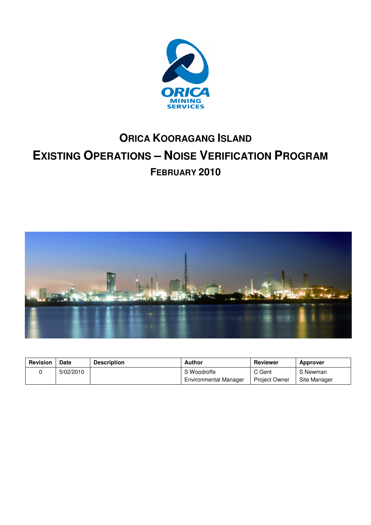

# **ORICA KOORAGANG ISLAND EXISTING OPERATIONS – NOISE VERIFICATION PROGRAM FEBRUARY 2010**



| <b>Revision</b> | <b>Date</b> | <b>Description</b> | Author                       | Reviewer             | <b>Approver</b> |
|-----------------|-------------|--------------------|------------------------------|----------------------|-----------------|
|                 | 5/02/2010   |                    | S Woodroffe                  | C Gent               | S Newman        |
|                 |             |                    | <b>Environmental Manager</b> | <b>Project Owner</b> | Site Manager    |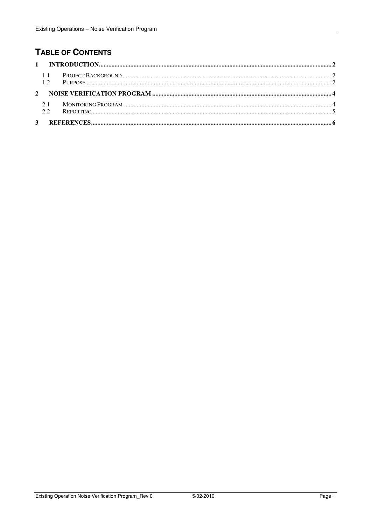## **TABLE OF CONTENTS**

|             | $-1.1$<br>1.2 |  |  |  |  |
|-------------|---------------|--|--|--|--|
| $2^{\circ}$ |               |  |  |  |  |
|             | 2.1<br>2.2    |  |  |  |  |
|             |               |  |  |  |  |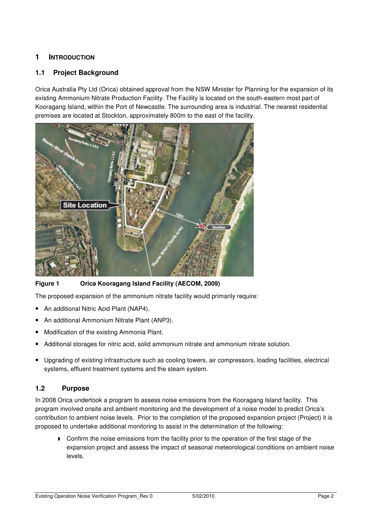## **1 INTRODUCTION**

### **1.1 Project Background**

Orica Australia Pty Ltd (Orica) obtained approval from the NSW Minister for Planning for the expansion of its existing Ammonium Nitrate Production Facility. The Facility is located on the south-eastern most part of Kooragang Island, within the Port of Newcastle. The surrounding area is industrial. The nearest residential premises are located at Stockton, approximately 800m to the east of the facility.



**Figure 1 Orica Kooragang Island Facility (AECOM, 2009)** 

The proposed expansion of the ammonium nitrate facility would primarily require:

- An additional Nitric Acid Plant (NAP4).
- An additional Ammonium Nitrate Plant (ANP3).
- Modification of the existing Ammonia Plant.
- Additional storages for nitric acid, solid ammonium nitrate and ammonium nitrate solution.
- Upgrading of existing infrastructure such as cooling towers, air compressors, loading facilities, electrical systems, effluent treatment systems and the steam system.

## **1.2 Purpose**

In 2008 Orica undertook a program to assess noise emissions from the Kooragang Island facility. This program involved onsite and ambient monitoring and the development of a noise model to predict Orica's contribution to ambient noise levels. Prior to the completion of the proposed expansion project (Project) it is proposed to undertake additional monitoring to assist in the determination of the following:

**•** Confirm the noise emissions from the facility prior to the operation of the first stage of the expansion project and assess the impact of seasonal meteorological conditions on ambient noise levels.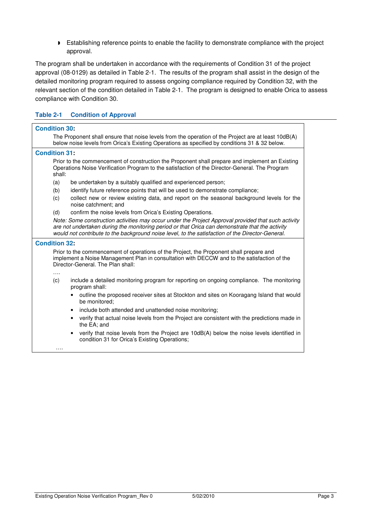**Establishing reference points to enable the facility to demonstrate compliance with the project** approval.

The program shall be undertaken in accordance with the requirements of Condition 31 of the project approval (08-0129) as detailed in Table 2-1. The results of the program shall assist in the design of the detailed monitoring program required to assess ongoing compliance required by Condition 32, with the relevant section of the condition detailed in Table 2-1. The program is designed to enable Orica to assess compliance with Condition 30.

#### **Table 2-1 Condition of Approval**

| <b>Condition 30:</b> |                                                                                                                                                                                                                                                                                                            |
|----------------------|------------------------------------------------------------------------------------------------------------------------------------------------------------------------------------------------------------------------------------------------------------------------------------------------------------|
|                      | The Proponent shall ensure that noise levels from the operation of the Project are at least 10dB(A)<br>below noise levels from Orica's Existing Operations as specified by conditions 31 & 32 below.                                                                                                       |
| <b>Condition 31:</b> |                                                                                                                                                                                                                                                                                                            |
| shall:               | Prior to the commencement of construction the Proponent shall prepare and implement an Existing<br>Operations Noise Verification Program to the satisfaction of the Director-General. The Program                                                                                                          |
| (a)                  | be undertaken by a suitably qualified and experienced person;                                                                                                                                                                                                                                              |
| (b)                  | identify future reference points that will be used to demonstrate compliance;                                                                                                                                                                                                                              |
| (c)                  | collect new or review existing data, and report on the seasonal background levels for the<br>noise catchment: and                                                                                                                                                                                          |
| (d)                  | confirm the noise levels from Orica's Existing Operations.                                                                                                                                                                                                                                                 |
|                      | Note: Some construction activities may occur under the Project Approval provided that such activity<br>are not undertaken during the monitoring period or that Orica can demonstrate that the activity<br>would not contribute to the background noise level, to the satisfaction of the Director-General. |
| <b>Condition 32:</b> |                                                                                                                                                                                                                                                                                                            |
|                      | Prior to the commencement of operations of the Project, the Proponent shall prepare and<br>implement a Noise Management Plan in consultation with DECCW and to the satisfaction of the<br>Director-General. The Plan shall:                                                                                |
| (c)                  | include a detailed monitoring program for reporting on ongoing compliance. The monitoring<br>program shall:                                                                                                                                                                                                |
|                      | outline the proposed receiver sites at Stockton and sites on Kooragang Island that would<br>be monitored;                                                                                                                                                                                                  |
|                      | include both attended and unattended noise monitoring;                                                                                                                                                                                                                                                     |
|                      | verify that actual noise levels from the Project are consistent with the predictions made in<br>the EA; and                                                                                                                                                                                                |
|                      | verify that noise levels from the Project are 10dB(A) below the noise levels identified in<br>condition 31 for Orica's Existing Operations;                                                                                                                                                                |
|                      |                                                                                                                                                                                                                                                                                                            |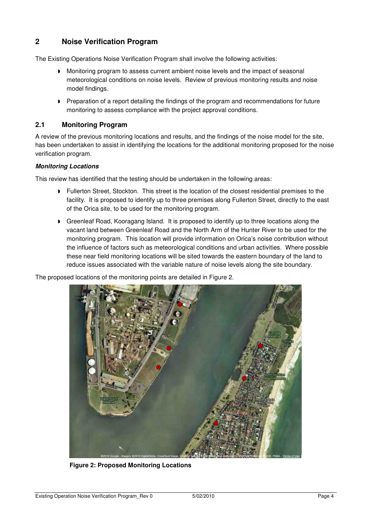## **2 Noise Verification Program**

The Existing Operations Noise Verification Program shall involve the following activities:

- Monitoring program to assess current ambient noise levels and the impact of seasonal meteorological conditions on noise levels. Review of previous monitoring results and noise model findings.
- **P** Preparation of a report detailing the findings of the program and recommendations for future monitoring to assess compliance with the project approval conditions.

#### **2.1 Monitoring Program**

A review of the previous monitoring locations and results, and the findings of the noise model for the site, has been undertaken to assist in identifying the locations for the additional monitoring proposed for the noise verification program.

#### **Monitoring Locations**

This review has identified that the testing should be undertaken in the following areas:

- **Fullerton Street, Stockton. This street is the location of the closest residential premises to the** facility. It is proposed to identify up to three premises along Fullerton Street, directly to the east of the Orica site, to be used for the monitoring program.
- Greenleaf Road, Kooragang Island. It is proposed to identify up to three locations along the vacant land between Greenleaf Road and the North Arm of the Hunter River to be used for the monitoring program. This location will provide information on Orica's noise contribution without the influence of factors such as meteorological conditions and urban activities. Where possible these near field monitoring locations will be sited towards the eastern boundary of the land to reduce issues associated with the variable nature of noise levels along the site boundary.

The proposed locations of the monitoring points are detailed in Figure 2.



**Figure 2: Proposed Monitoring Locations**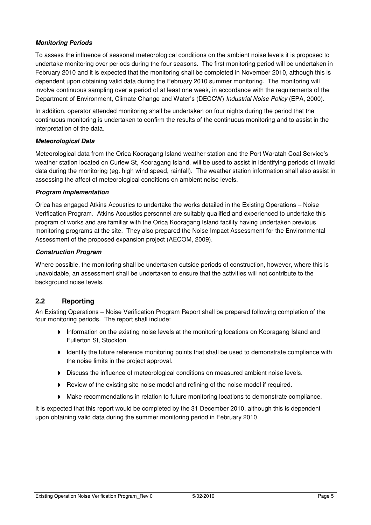#### **Monitoring Periods**

To assess the influence of seasonal meteorological conditions on the ambient noise levels it is proposed to undertake monitoring over periods during the four seasons. The first monitoring period will be undertaken in February 2010 and it is expected that the monitoring shall be completed in November 2010, although this is dependent upon obtaining valid data during the February 2010 summer monitoring. The monitoring will involve continuous sampling over a period of at least one week, in accordance with the requirements of the Department of Environment, Climate Change and Water's (DECCW) Industrial Noise Policy (EPA, 2000).

In addition, operator attended monitoring shall be undertaken on four nights during the period that the continuous monitoring is undertaken to confirm the results of the continuous monitoring and to assist in the interpretation of the data.

#### **Meteorological Data**

Meteorological data from the Orica Kooragang Island weather station and the Port Waratah Coal Service's weather station located on Curlew St, Kooragang Island, will be used to assist in identifying periods of invalid data during the monitoring (eg. high wind speed, rainfall). The weather station information shall also assist in assessing the affect of meteorological conditions on ambient noise levels.

#### **Program Implementation**

Orica has engaged Atkins Acoustics to undertake the works detailed in the Existing Operations – Noise Verification Program. Atkins Acoustics personnel are suitably qualified and experienced to undertake this program of works and are familiar with the Orica Kooragang Island facility having undertaken previous monitoring programs at the site. They also prepared the Noise Impact Assessment for the Environmental Assessment of the proposed expansion project (AECOM, 2009).

#### **Construction Program**

Where possible, the monitoring shall be undertaken outside periods of construction, however, where this is unavoidable, an assessment shall be undertaken to ensure that the activities will not contribute to the background noise levels.

## **2.2 Reporting**

An Existing Operations – Noise Verification Program Report shall be prepared following completion of the four monitoring periods. The report shall include:

- Information on the existing noise levels at the monitoring locations on Kooragang Island and Fullerton St, Stockton.
- Identify the future reference monitoring points that shall be used to demonstrate compliance with the noise limits in the project approval.
- Discuss the influence of meteorological conditions on measured ambient noise levels.
- **P** Review of the existing site noise model and refining of the noise model if required.
- Make recommendations in relation to future monitoring locations to demonstrate compliance.

It is expected that this report would be completed by the 31 December 2010, although this is dependent upon obtaining valid data during the summer monitoring period in February 2010.